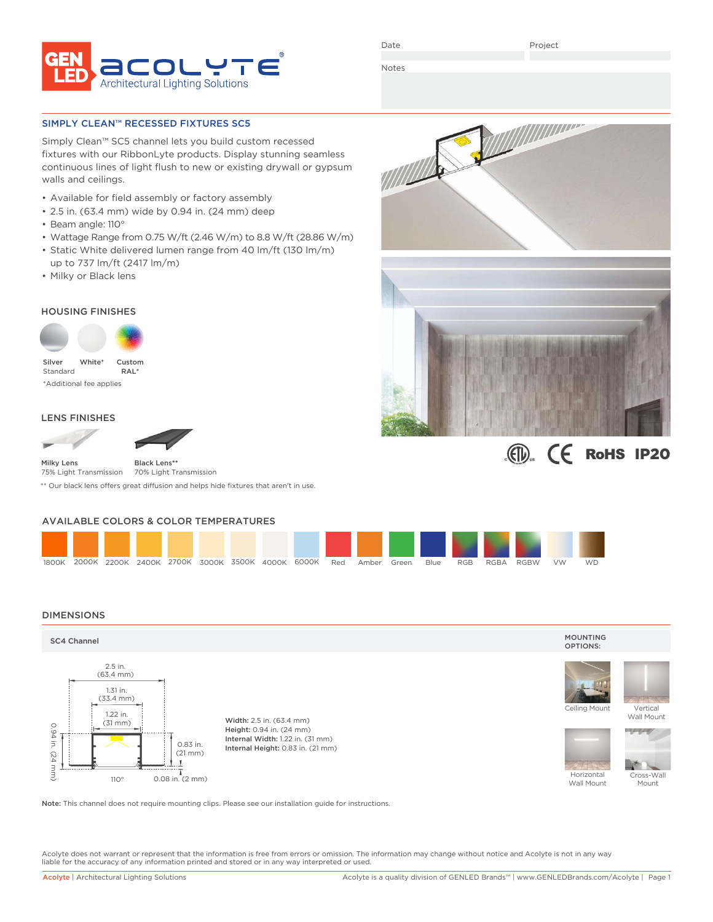

Project

Notes

SIMPLY CLEAN™ RECESSED FIXTURES SC5

Simply Clean™ SC5 channel lets you build custom recessed fixtures with our RibbonLyte products. Display stunning seamless continuous lines of light flush to new or existing drywall or gypsum walls and ceilings.

- Available for field assembly or factory assembly
- 2.5 in. (63.4 mm) wide by 0.94 in. (24 mm) deep
- Beam angle: 110°
- Wattage Range from 0.75 W/ft (2.46 W/m) to 8.8 W/ft (28.86 W/m)
- Static White delivered lumen range from 40 lm/ft (130 lm/m) up to 737 lm/ft (2417 lm/m)
- Milky or Black lens

## HOUSING FINISHES



Standard \*Additional fee applies RAL\*

## LENS FINISHES





Black Lens**\*\***

75% Light Transmission 70% Light Transmission

\*\* Our black lens offers great diffusion and helps hide fixtures that aren't in use.

## AVAILABLE COLORS & COLOR TEMPERATURES

| 1800K |  |  |  | 2000K 2200K 2400K 2700K 3000K 3500K 4000K 6000K | Red | Amber | Green | Blue | RGB | RGBA | <b>RGBW</b> | <b>VW</b> | <b>WD</b> |
|-------|--|--|--|-------------------------------------------------|-----|-------|-------|------|-----|------|-------------|-----------|-----------|

### DIMENSIONS



Note: This channel does not require mounting clips. Please see our installation guide for instructions.

Acolyte does not warrant or represent that the information is free from errors or omission. The information may change without notice and Acolyte is not in any way liable for the accuracy of any information printed and stored or in any way interpreted or used.





# $I(E)$   $I(E)$  RoHS IP20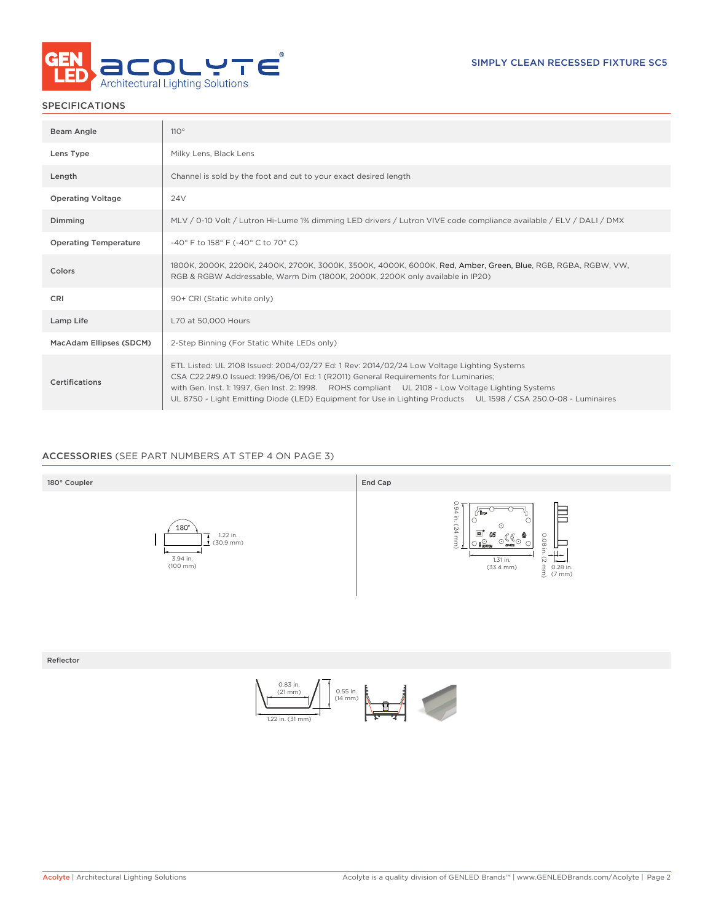

## SPECIFICATIONS

| Beam Angle                   | 110°                                                                                                                                                                                                                                                                                                                                                                                                     |
|------------------------------|----------------------------------------------------------------------------------------------------------------------------------------------------------------------------------------------------------------------------------------------------------------------------------------------------------------------------------------------------------------------------------------------------------|
| Lens Type                    | Milky Lens, Black Lens                                                                                                                                                                                                                                                                                                                                                                                   |
| Length                       | Channel is sold by the foot and cut to your exact desired length                                                                                                                                                                                                                                                                                                                                         |
| <b>Operating Voltage</b>     | 24 <sub>V</sub>                                                                                                                                                                                                                                                                                                                                                                                          |
| Dimming                      | MLV / 0-10 Volt / Lutron Hi-Lume 1% dimming LED drivers / Lutron VIVE code compliance available / ELV / DALI / DMX                                                                                                                                                                                                                                                                                       |
| <b>Operating Temperature</b> | -40° F to 158° F (-40° C to 70° C)                                                                                                                                                                                                                                                                                                                                                                       |
| Colors                       | 1800K, 2000K, 2200K, 2400K, 2700K, 3000K, 3500K, 4000K, 6000K, Red, Amber, Green, Blue, RGB, RGBA, RGBW, VW,<br>RGB & RGBW Addressable, Warm Dim (1800K, 2000K, 2200K only available in IP20)                                                                                                                                                                                                            |
| CRI                          | 90+ CRI (Static white only)                                                                                                                                                                                                                                                                                                                                                                              |
| Lamp Life                    | L70 at 50,000 Hours                                                                                                                                                                                                                                                                                                                                                                                      |
| MacAdam Ellipses (SDCM)      | 2-Step Binning (For Static White LEDs only)                                                                                                                                                                                                                                                                                                                                                              |
| Certifications               | ETL Listed: UL 2108 Issued: 2004/02/27 Ed: 1 Rev: 2014/02/24 Low Voltage Lighting Systems<br>CSA C22.2#9.0 Issued: 1996/06/01 Ed: 1 (R2011) General Requirements for Luminaries;<br>with Gen. Inst. 1: 1997, Gen Inst. 2: 1998. ROHS compliant UL 2108 - Low Voltage Lighting Systems<br>UL 8750 - Light Emitting Diode (LED) Equipment for Use in Lighting Products UL 1598 / CSA 250.0-08 - Luminaires |

## ACCESSORIES (SEE PART NUMBERS AT STEP 4 ON PAGE 3)



Reflector

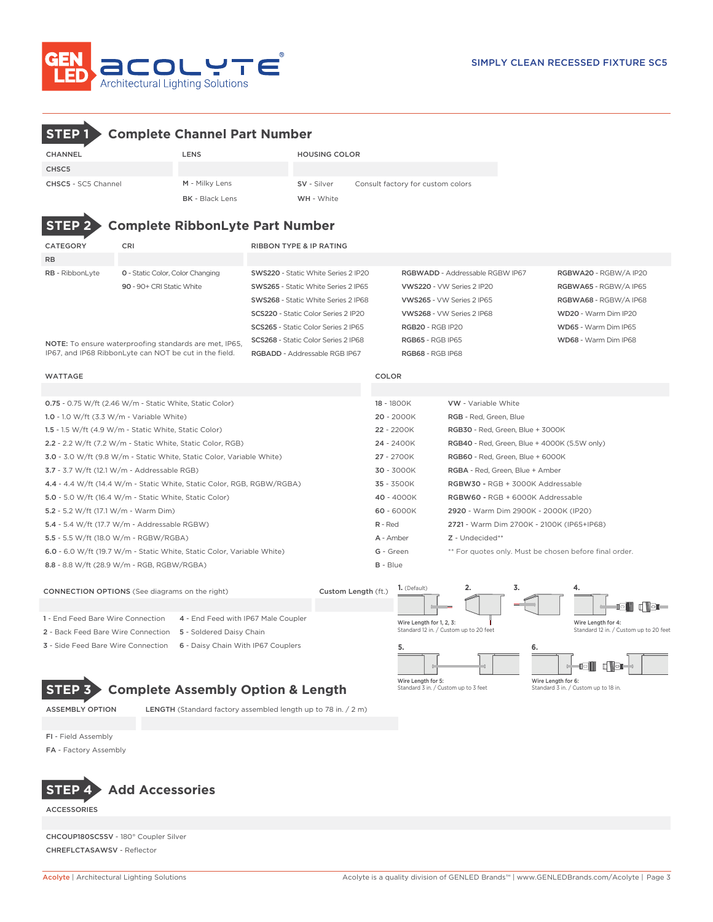

CHSC5

CHANNEL LENS LENS HOUSING COLOR

**STEP 1 Complete Channel Part Number**

| <b>CHSC5 - SC5 Channel</b>           | M - Milky Lens                                                         | SV - Silver                         | Consult factory for custom colors |                                                        |                                                              |  |  |
|--------------------------------------|------------------------------------------------------------------------|-------------------------------------|-----------------------------------|--------------------------------------------------------|--------------------------------------------------------------|--|--|
|                                      | <b>BK</b> - Black Lens                                                 | WH - White                          |                                   |                                                        |                                                              |  |  |
|                                      |                                                                        |                                     |                                   |                                                        |                                                              |  |  |
| <b>STEP</b>                          | <b>Complete RibbonLyte Part Number</b>                                 |                                     |                                   |                                                        |                                                              |  |  |
| CATEGORY                             | CRI                                                                    | <b>RIBBON TYPE &amp; IP RATING</b>  |                                   |                                                        |                                                              |  |  |
| <b>RB</b>                            |                                                                        |                                     |                                   |                                                        |                                                              |  |  |
| RB - RibbonLyte                      | 0 - Static Color, Color Changing                                       | SWS220 - Static White Series 2 IP20 |                                   | RGBWADD - Addressable RGBW IP67                        | RGBWA20 - RGBW/A IP20                                        |  |  |
|                                      | 90 - 90+ CRI Static White                                              | SWS265 - Static White Series 2 IP65 |                                   | VWS220 - VW Series 2 IP20                              | RGBWA65 - RGBW/A IP65                                        |  |  |
|                                      |                                                                        | SWS268 - Static White Series 2 IP68 |                                   | VWS265 - VW Series 2 IP65                              | RGBWA68 - RGBW/A IP68                                        |  |  |
|                                      |                                                                        | SCS220 - Static Color Series 2 IP20 |                                   | VWS268 - VW Series 2 IP68                              | WD20 - Warm Dim IP20                                         |  |  |
|                                      |                                                                        | SCS265 - Static Color Series 2 IP65 | <b>RGB20 - RGB IP20</b>           |                                                        | WD65 - Warm Dim IP65                                         |  |  |
|                                      | NOTE: To ensure waterproofing standards are met, IP65,                 | SCS268 - Static Color Series 2 IP68 | <b>RGB65 - RGB IP65</b>           |                                                        | WD68 - Warm Dim IP68                                         |  |  |
|                                      | IP67, and IP68 RibbonLyte can NOT be cut in the field.                 | RGBADD - Addressable RGB IP67       | RGB68 - RGB IP68                  |                                                        |                                                              |  |  |
| <b>WATTAGE</b>                       |                                                                        |                                     | <b>COLOR</b>                      |                                                        |                                                              |  |  |
|                                      |                                                                        |                                     |                                   |                                                        |                                                              |  |  |
|                                      | 0.75 - 0.75 W/ft (2.46 W/m - Static White, Static Color)               |                                     | 18 - 1800K                        | <b>VW</b> - Variable White                             |                                                              |  |  |
|                                      | 1.0 - 1.0 W/ft $(3.3 W/m - Variable White)$                            |                                     | 20 - 2000K                        | RGB - Red, Green, Blue                                 |                                                              |  |  |
|                                      | 1.5 - 1.5 W/ft (4.9 W/m - Static White, Static Color)                  |                                     | 22 - 2200K                        | RGB30 - Red, Green, Blue + 3000K                       |                                                              |  |  |
|                                      | 2.2 - 2.2 W/ft (7.2 W/m - Static White, Static Color, RGB)             |                                     | 24 - 2400K                        | RGB40 - Red, Green, Blue + 4000K (5.5W only)           |                                                              |  |  |
|                                      | 3.0 - 3.0 W/ft (9.8 W/m - Static White, Static Color, Variable White)  |                                     | 27 - 2700K                        | RGB60 - Red, Green, Blue + 6000K                       |                                                              |  |  |
|                                      | 3.7 - 3.7 W/ft (12.1 W/m - Addressable RGB)                            |                                     | 30 - 3000K                        | RGBA - Red, Green, Blue + Amber                        |                                                              |  |  |
|                                      | 4.4 - 4.4 W/ft (14.4 W/m - Static White, Static Color, RGB, RGBW/RGBA) |                                     | 35 - 3500K                        | RGBW30 - RGB + 3000K Addressable                       |                                                              |  |  |
|                                      | 5.0 - 5.0 W/ft (16.4 W/m - Static White, Static Color)                 |                                     | 40 - 4000K                        | RGBW60 - RGB + 6000K Addressable                       |                                                              |  |  |
| 5.2 - 5.2 W/ft (17.1 W/m - Warm Dim) |                                                                        |                                     | 60 - 6000K                        | 2920 - Warm Dim 2900K - 2000K (IP20)                   |                                                              |  |  |
|                                      | 5.4 - 5.4 W/ft (17.7 W/m - Addressable RGBW)                           |                                     | $R - Red$                         | 2721 - Warm Dim 2700K - 2100K (IP65+IP68)              |                                                              |  |  |
|                                      | 5.5 - 5.5 W/ft (18.0 W/m - RGBW/RGBA)                                  |                                     | A - Amber                         | Z - Undecided**                                        |                                                              |  |  |
|                                      | 6.0 - 6.0 W/ft (19.7 W/m - Static White, Static Color, Variable White) |                                     | G - Green                         | ** For quotes only. Must be chosen before final order. |                                                              |  |  |
|                                      | 8.8 - 8.8 W/ft (28.9 W/m - RGB, RGBW/RGBA)                             |                                     | <b>B</b> - Blue                   |                                                        |                                                              |  |  |
|                                      |                                                                        |                                     | 1. (Default)                      | 3.<br>2.                                               | 4.                                                           |  |  |
|                                      | <b>CONNECTION OPTIONS</b> (See diagrams on the right)                  | Custom Length (ft.)                 |                                   |                                                        |                                                              |  |  |
|                                      |                                                                        |                                     |                                   |                                                        | gii disc                                                     |  |  |
| 1 - End Feed Bare Wire Connection    | 4 - End Feed with IP67 Male Coupler                                    |                                     | Wire Length for 1, 2, 3:          | Standard 12 in. / Custom up to 20 feet                 | Wire Length for 4:<br>Standard 12 in. / Custom up to 20 feet |  |  |
|                                      | 2 - Back Feed Bare Wire Connection 5 - Soldered Daisy Chain            |                                     |                                   |                                                        |                                                              |  |  |
|                                      | 3 - Side Feed Bare Wire Connection 6 - Daisy Chain With IP67 Couplers  |                                     | 5.                                | 6.                                                     |                                                              |  |  |
|                                      |                                                                        |                                     |                                   |                                                        | d Vol<br>OII                                                 |  |  |

## **STEP 3 Complete Assembly Option & Length**

ASSEMBLY OPTION LENGTH (Standard factory assembled length up to 78 in. / 2 m)



FI - Field Assembly

FA - Factory Assembly



**ACCESSORIES** 

CHCOUP180SC5SV - 180° Coupler Silver CHREFLCTASAWSV - Reflector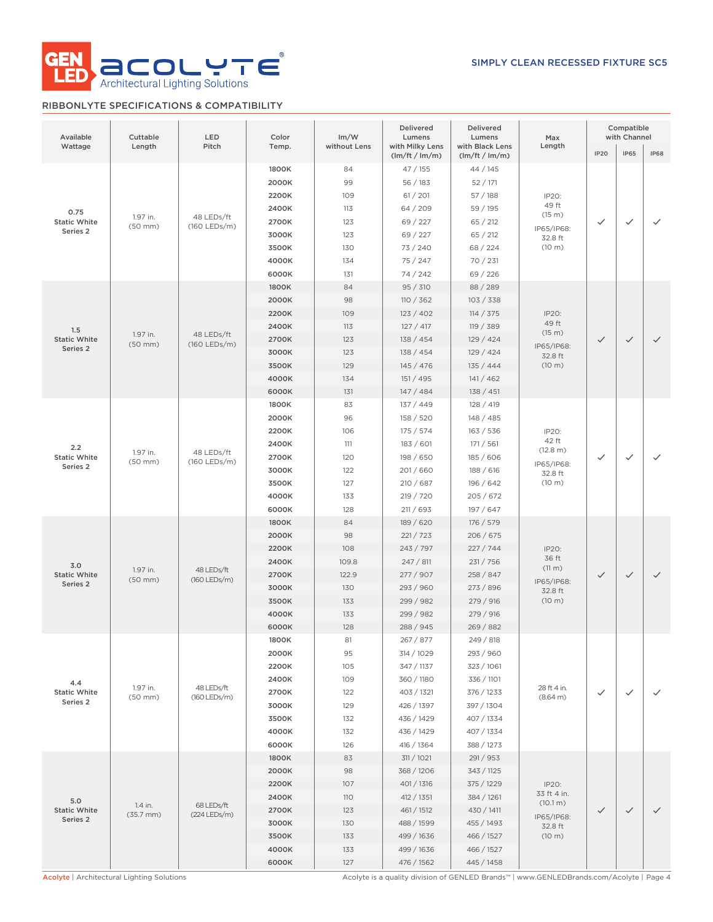

## RIBBONLYTE SPECIFICATIONS & COMPATIBILITY

| Available<br>Wattage                    | Cuttable<br>Length       | LED<br>Pitch               | Color<br>Temp. | Im/W<br>without Lens | Delivered<br>Lumens<br>with Milky Lens | Delivered<br>Lumens<br>with Black Lens | Max<br>Length           | Compatible<br>with Channel |              |              |            |            |  |  |       |     |           |           |                   |  |  |       |
|-----------------------------------------|--------------------------|----------------------------|----------------|----------------------|----------------------------------------|----------------------------------------|-------------------------|----------------------------|--------------|--------------|------------|------------|--|--|-------|-----|-----------|-----------|-------------------|--|--|-------|
|                                         |                          |                            |                |                      | (lm/ft / lm/m)                         | (lm/ft / lm/m)                         |                         | <b>IP20</b>                | <b>IP65</b>  | <b>IP68</b>  |            |            |  |  |       |     |           |           |                   |  |  |       |
|                                         |                          |                            | 1800K          | 84                   | 47/155                                 | 44 / 145                               |                         |                            |              |              |            |            |  |  |       |     |           |           |                   |  |  |       |
|                                         |                          |                            | 2000K          | 99                   | 56/183                                 | 52/171                                 |                         |                            |              |              |            |            |  |  |       |     |           |           |                   |  |  |       |
|                                         |                          |                            | 2200K          | 109                  | 61 / 201                               | 57/188                                 | IP20:                   |                            |              |              |            |            |  |  |       |     |           |           |                   |  |  |       |
| 0.75<br><b>Static White</b><br>Series 2 | 1.97 in.                 | 48 LEDs/ft                 | 2400K          | 113                  | 64 / 209                               | 59 / 195                               | 49 ft<br>(15 m)         |                            |              |              |            |            |  |  |       |     |           |           |                   |  |  |       |
|                                         | $(50$ mm $)$             | (160 LEDs/m)               | 2700K          | 123                  | 69 / 227                               | 65 / 212                               | IP65/IP68:              | $\checkmark$               | $\checkmark$ | $\checkmark$ |            |            |  |  |       |     |           |           |                   |  |  |       |
|                                         |                          |                            |                |                      |                                        |                                        | 3000K                   | 123                        | 69 / 227     | 65 / 212     | 32.8 ft    |            |  |  |       |     |           |           |                   |  |  |       |
|                                         |                          |                            |                |                      | 3500K                                  | 130                                    | 73 / 240                | 68 / 224                   | (10 m)       |              |            |            |  |  |       |     |           |           |                   |  |  |       |
|                                         |                          |                            | 4000K          | 134                  | 75/247                                 | 70 / 231                               |                         |                            |              |              |            |            |  |  |       |     |           |           |                   |  |  |       |
|                                         |                          |                            | 6000K          | 131                  | 74 / 242                               | 69/226                                 |                         |                            |              |              |            |            |  |  |       |     |           |           |                   |  |  |       |
|                                         |                          |                            | 1800K          | 84                   | 95 / 310                               | 88 / 289                               |                         |                            |              |              |            |            |  |  |       |     |           |           |                   |  |  |       |
| 1.5                                     |                          |                            | 2000K          | 98                   | 110 / 362                              | 103 / 338                              |                         |                            |              |              |            |            |  |  |       |     |           |           |                   |  |  |       |
|                                         |                          |                            | 2200K          | 109                  | 123/402                                | 114 / 375                              | IP20:<br>49 ft          |                            |              |              |            |            |  |  |       |     |           |           |                   |  |  |       |
|                                         | 1.97 in.                 | 48 LEDs/ft                 | 2400K          | 113                  | 127/417                                | 119 / 389                              | (15 m)                  |                            | $\checkmark$ |              |            |            |  |  |       |     |           |           |                   |  |  |       |
| <b>Static White</b><br>Series 2         | $(50$ mm $)$             | (160 LEDs/m)               | 2700K          | 123                  | 138 / 454                              | 129/424                                | IP65/IP68:              | $\checkmark$               |              | $\checkmark$ |            |            |  |  |       |     |           |           |                   |  |  |       |
|                                         |                          |                            | 3000K          | 123                  | 138 / 454                              | 129 / 424                              | 32.8 ft                 |                            |              |              |            |            |  |  |       |     |           |           |                   |  |  |       |
|                                         |                          |                            | 3500K          | 129                  | 145 / 476                              | 135 / 444                              | (10 m)                  |                            |              |              |            |            |  |  |       |     |           |           |                   |  |  |       |
|                                         |                          |                            | 4000K          | 134                  | 151 / 495                              | 141 / 462                              |                         |                            |              |              |            |            |  |  |       |     |           |           |                   |  |  |       |
|                                         |                          |                            | 6000K          | 131                  | 147 / 484                              | 138 / 451                              |                         |                            |              |              |            |            |  |  |       |     |           |           |                   |  |  |       |
|                                         |                          |                            | 1800K<br>2000K | 83<br>96             | 137 / 449                              | 128 / 419                              |                         |                            |              |              |            |            |  |  |       |     |           |           |                   |  |  |       |
| 2.2<br><b>Static White</b><br>Series 2  |                          | 48 LEDs/ft<br>(160 LEDs/m) |                |                      | 158 / 520<br>175 / 574                 | 148 / 485                              |                         |                            |              |              |            |            |  |  |       |     |           |           |                   |  |  |       |
|                                         |                          |                            | 2200K<br>2400K | 106<br>111           | 183/601                                | 163 / 536<br>171 / 561                 | IP20:<br>42 ft          |                            |              |              |            |            |  |  |       |     |           |           |                   |  |  |       |
|                                         | 1.97 in.                 |                            | 2700K          | 120                  | 198 / 650                              | 185 / 606                              | (12.8 m)                |                            | $\checkmark$ | ✓            |            |            |  |  |       |     |           |           |                   |  |  |       |
|                                         | $(50$ mm $)$             |                            | 3000K          | 122                  | 201/660                                | 188 / 616                              | IP65/IP68:              | $\checkmark$               |              |              |            |            |  |  |       |     |           |           |                   |  |  |       |
|                                         |                          |                            |                |                      |                                        |                                        |                         |                            |              |              |            |            |  |  | 3500K | 127 | 210 / 687 | 196 / 642 | 32.8 ft<br>(10 m) |  |  |       |
|                                         |                          |                            |                |                      |                                        |                                        |                         |                            |              |              |            |            |  |  |       |     |           |           |                   |  |  | 4000K |
|                                         |                          |                            | 6000K          | 128                  | 211 / 693                              | 197 / 647                              |                         |                            |              |              |            |            |  |  |       |     |           |           |                   |  |  |       |
|                                         |                          |                            | 1800K          | 84                   | 189 / 620                              | 176 / 579                              |                         |                            |              | $\checkmark$ |            |            |  |  |       |     |           |           |                   |  |  |       |
|                                         | 1.97 in.<br>$(50$ mm $)$ | 48 LEDs/ft<br>(160 LEDs/m) | 2000K          | 98                   | 221 / 723                              | 206 / 675                              |                         |                            | $\checkmark$ |              |            |            |  |  |       |     |           |           |                   |  |  |       |
|                                         |                          |                            | 2200K          | 108                  | 243 / 797                              | 227/744                                | IP20:                   |                            |              |              |            |            |  |  |       |     |           |           |                   |  |  |       |
|                                         |                          |                            | 2400K          | 109.8                | 247 / 811                              | 231 / 756                              | 36 ft                   |                            |              |              |            |            |  |  |       |     |           |           |                   |  |  |       |
| 3.0<br><b>Static White</b>              |                          |                            | 2700K          | 122.9                | 277 / 907                              | 258 / 847                              | $(11 \text{ m})$        | $\checkmark$               |              |              |            |            |  |  |       |     |           |           |                   |  |  |       |
| Series 2                                |                          |                            | 3000K          | 130                  | 293 / 960                              | 273 / 896                              | IP65/IP68:              |                            |              |              |            |            |  |  |       |     |           |           |                   |  |  |       |
|                                         |                          |                            | 3500K          | 133                  | 299 / 982                              | 279 / 916                              | 32.8 ft<br>(10 m)       |                            |              |              |            |            |  |  |       |     |           |           |                   |  |  |       |
|                                         |                          |                            | 4000K          | 133                  | 299 / 982                              | 279 / 916                              |                         |                            |              |              |            |            |  |  |       |     |           |           |                   |  |  |       |
|                                         |                          |                            | 6000K          | 128                  | 288 / 945                              | 269 / 882                              |                         |                            |              |              |            |            |  |  |       |     |           |           |                   |  |  |       |
|                                         |                          |                            | 1800K          | 81                   | 267 / 877                              | 249 / 818                              |                         |                            |              |              |            |            |  |  |       |     |           |           |                   |  |  |       |
|                                         |                          |                            | 2000K          | 95                   | 314 / 1029                             | 293 / 960                              |                         |                            |              |              |            |            |  |  |       |     |           |           |                   |  |  |       |
|                                         |                          |                            | 2200K          | 105                  | 347 / 1137                             | 323 / 1061                             |                         |                            |              |              |            |            |  |  |       |     |           |           |                   |  |  |       |
| 4.4                                     |                          |                            | 2400K          | 109                  | 360 / 1180                             | 336 / 1101                             |                         |                            |              |              |            |            |  |  |       |     |           |           |                   |  |  |       |
| <b>Static White</b>                     | 1.97 in.<br>$(50$ mm $)$ | 48 LEDs/ft<br>(160 LEDs/m) | 2700K          | 122                  | 403 / 1321                             | 376 / 1233                             | 28 ft 4 in.<br>(8.64 m) | $\checkmark$               | ✓            | $\checkmark$ |            |            |  |  |       |     |           |           |                   |  |  |       |
| Series 2                                |                          |                            | 3000K          | 129                  | 426 / 1397                             | 397 / 1304                             |                         |                            |              |              |            |            |  |  |       |     |           |           |                   |  |  |       |
|                                         |                          |                            | 3500K          | 132                  | 436 / 1429                             | 407 / 1334                             |                         |                            |              |              |            |            |  |  |       |     |           |           |                   |  |  |       |
|                                         |                          |                            | 4000K          | 132                  | 436 / 1429                             | 407 / 1334                             |                         |                            |              |              |            |            |  |  |       |     |           |           |                   |  |  |       |
|                                         |                          |                            | 6000K          | 126                  | 416 / 1364                             | 388 / 1273                             |                         |                            |              |              |            |            |  |  |       |     |           |           |                   |  |  |       |
|                                         |                          |                            | 1800K          | 83                   | 311 / 1021                             | 291 / 953                              |                         |                            |              |              |            |            |  |  |       |     |           |           |                   |  |  |       |
|                                         |                          |                            | 2000K          | 98                   | 368 / 1206                             | 343 / 1125                             |                         |                            |              |              |            |            |  |  |       |     |           |           |                   |  |  |       |
|                                         |                          |                            | 2200K          | 107                  | 401 / 1316                             | 375 / 1229                             | IP20:                   |                            |              |              |            |            |  |  |       |     |           |           |                   |  |  |       |
| 5.0                                     |                          |                            | 2400K          | 110                  | 412 / 1351                             | 384 / 1261                             | 33 ft 4 in.             |                            |              |              |            |            |  |  |       |     |           |           |                   |  |  |       |
| <b>Static White</b>                     | 1.4 in.                  | 68 LEDs/ft                 | 2700K          | 123                  | 461 / 1512                             | 430 / 1411                             | (10.1 m)                | $\checkmark$               | $\checkmark$ | $\checkmark$ |            |            |  |  |       |     |           |           |                   |  |  |       |
| Series 2                                | $(35.7 \, \text{mm})$    | (224 LEDs/m)               | 3000K          | 130                  | 488 / 1599                             | 455 / 1493                             | IP65/IP68:<br>32.8 ft   |                            |              |              |            |            |  |  |       |     |           |           |                   |  |  |       |
|                                         |                          |                            | 3500K          | 133                  | 499 / 1636                             | 466 / 1527                             | (10 m)                  |                            |              |              |            |            |  |  |       |     |           |           |                   |  |  |       |
|                                         |                          |                            |                |                      |                                        |                                        |                         |                            | 4000K        | 133          | 499 / 1636 | 466 / 1527 |  |  |       |     |           |           |                   |  |  |       |
|                                         |                          |                            | 6000K          | 127                  | 476 / 1562                             | 445 / 1458                             |                         |                            |              |              |            |            |  |  |       |     |           |           |                   |  |  |       |

Acolyte | Architectural Lighting Solutions Acolyte is a quality division of GENLED Brands™ | www.GENLEDBrands.com/Acolyte | Page 4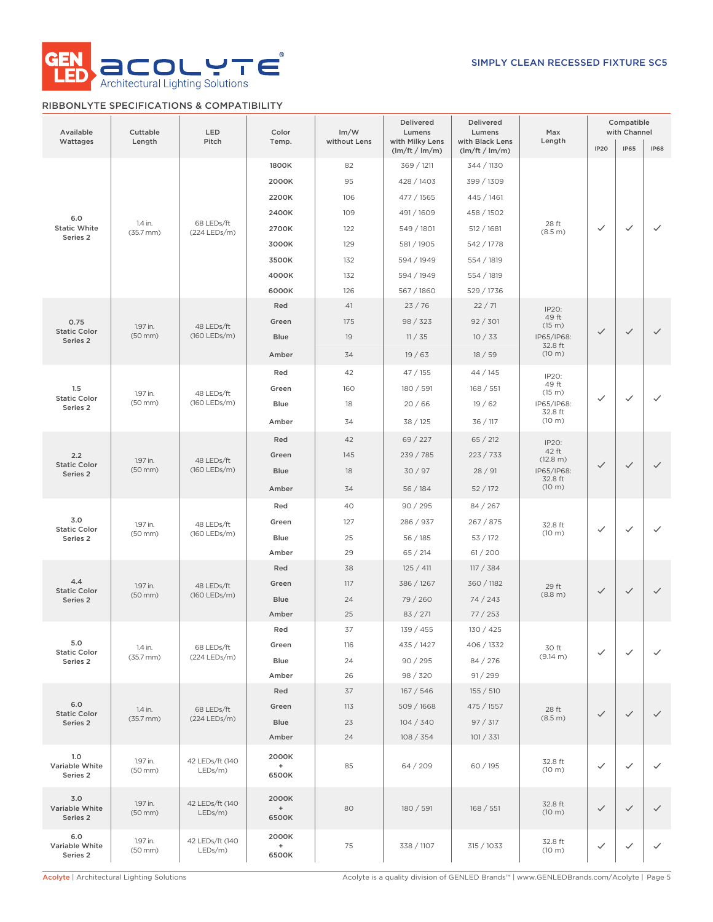

## RIBBONLYTE SPECIFICATIONS & COMPATIBILITY

| Available<br>Wattages             | Cuttable<br>Length        | LED<br>Pitch                  | Color<br>Temp.              | Im/W<br>without Lens | Delivered<br>Lumens<br>with Milky Lens<br>(lm/ft / lm/m) | Delivered<br>Lumens<br>with Black Lens<br>(lm/ft / lm/m) | Max<br>Length          | <b>IP20</b>  | Compatible<br>with Channel<br><b>IP65</b> | <b>IP68</b>  |
|-----------------------------------|---------------------------|-------------------------------|-----------------------------|----------------------|----------------------------------------------------------|----------------------------------------------------------|------------------------|--------------|-------------------------------------------|--------------|
|                                   |                           |                               | 1800K                       | 82                   | 369 / 1211                                               | 344 / 1130                                               |                        |              |                                           |              |
|                                   |                           |                               | 2000K                       | 95                   | 428 / 1403                                               | 399 / 1309                                               |                        |              |                                           |              |
|                                   |                           |                               | 2200K                       | 106                  | 477 / 1565                                               | 445 / 1461                                               |                        |              |                                           |              |
|                                   |                           |                               | 2400K                       | 109                  | 491 / 1609                                               | 458 / 1502                                               |                        |              |                                           |              |
| 6.0<br><b>Static White</b>        | 1.4 in.                   | 68 LEDs/ft                    | 2700K                       | 122                  | 549 / 1801                                               | 512 / 1681                                               | 28 ft<br>(8.5 m)       | $\checkmark$ | $\checkmark$                              | $\checkmark$ |
| Series 2                          | $(35.7$ mm $)$            | (224 LEDs/m)                  | 3000K                       | 129                  | 581 / 1905                                               | 542 / 1778                                               |                        |              |                                           |              |
|                                   |                           |                               | 3500K                       | 132                  | 594 / 1949                                               | 554 / 1819                                               |                        |              |                                           |              |
|                                   |                           |                               | 4000K                       | 132                  | 594 / 1949                                               | 554 / 1819                                               |                        |              |                                           |              |
|                                   |                           |                               | 6000K                       | 126                  | 567 / 1860                                               | 529 / 1736                                               |                        |              |                                           |              |
|                                   |                           |                               | Red                         | 41                   | 23/76                                                    | 22/71                                                    | IP20:                  |              |                                           |              |
| 0.75                              | 1.97 in.                  | 48 LEDs/ft                    | Green                       | 175                  | 98 / 323                                                 | 92 / 301                                                 | 49 ft<br>(15 m)        |              |                                           |              |
| <b>Static Color</b><br>Series 2   | $(50$ mm $)$              | (160 LEDs/m)                  | <b>Blue</b>                 | 19                   | 11 / 35                                                  | 10/33                                                    | IP65/IP68:             | $\checkmark$ | $\checkmark$                              | $\checkmark$ |
|                                   |                           |                               | Amber                       | 34                   | 19/63                                                    | 18/59                                                    | 32.8 ft<br>(10 m)      |              |                                           |              |
|                                   |                           |                               | Red                         | 42                   | 47/155                                                   | 44 / 145                                                 | IP20:                  |              |                                           |              |
| 1.5                               |                           |                               | Green                       | 160                  | 180 / 591                                                | 168 / 551                                                | 49 ft                  |              |                                           |              |
| <b>Static Color</b><br>Series 2   | 1.97 in.<br>$(50$ mm $)$  | 48 LEDs/ft<br>$(160$ LEDs/m)  | <b>Blue</b>                 | 18                   | 20/66                                                    | 19/62                                                    | (15 m)<br>IP65/IP68:   | $\checkmark$ | $\checkmark$                              | $\checkmark$ |
|                                   |                           |                               | Amber                       | 34                   | 38 / 125                                                 | 36 / 117                                                 | 32.8 ft<br>(10 m)      |              |                                           |              |
| 2.2                               |                           |                               | Red                         | 42                   | 69 / 227                                                 | 65 / 212                                                 |                        |              |                                           |              |
|                                   |                           |                               | Green                       | 145                  | 239 / 785                                                | 223 / 733                                                | IP20:<br>42 ft         |              |                                           |              |
| <b>Static Color</b>               | 1.97 in.<br>$(50$ mm $)$  | 48 LEDs/ft<br>$(160$ LEDs/m)  | <b>Blue</b>                 | 18                   | 30/97                                                    | 28/91                                                    | (12.8 m)<br>IP65/IP68: | $\checkmark$ | $\checkmark$                              | $\checkmark$ |
| Series 2                          |                           |                               |                             |                      |                                                          |                                                          | 32.8 ft<br>(10 m)      |              |                                           |              |
|                                   |                           |                               | Amber                       | 34                   | 56/184                                                   | 52/172                                                   |                        |              |                                           |              |
| 3.0                               |                           |                               | Red                         | 40                   | 90 / 295                                                 | 84 / 267                                                 |                        |              |                                           |              |
| <b>Static Color</b>               | 1.97 in.<br>$(50$ mm $)$  | 48 LEDs/ft<br>(160 LEDs/m)    | Green                       | 127                  | 286 / 937                                                | 267 / 875                                                | 32.8 ft<br>(10 m)      | $\checkmark$ | $\checkmark$                              | $\checkmark$ |
| Series 2                          |                           |                               | <b>Blue</b>                 | 25                   | 56 / 185                                                 | 53 / 172                                                 |                        |              |                                           |              |
|                                   |                           |                               | Amber                       | 29                   | 65 / 214                                                 | 61/200                                                   |                        |              |                                           |              |
| 4.4                               |                           | 48 LEDs/ft<br>$(160$ LEDs/m)  | Red                         | 38                   | 125 / 411<br>386 / 1267                                  | 117 / 384                                                |                        |              |                                           |              |
| <b>Static Color</b>               | 1.97 in.<br>$(50$ mm $)$  |                               | Green<br><b>Blue</b>        | 117                  |                                                          | 360 / 1182                                               | 29 ft<br>(8.8 m)       | $\checkmark$ | $\checkmark$                              | $\checkmark$ |
| Series 2                          |                           |                               | Amber                       | 24<br>25             | 79 / 260<br>83 / 271                                     | 74/243<br>77/253                                         |                        |              |                                           |              |
|                                   |                           |                               | Red                         | 37                   | 139 / 455                                                | 130 / 425                                                |                        |              |                                           |              |
| 5.0                               |                           |                               | Green                       | 116                  | 435 / 1427                                               | 406 / 1332                                               |                        |              |                                           |              |
| <b>Static Color</b><br>Series 2   | 1.4 in.<br>$(35.7$ mm $)$ | 68 LEDs/ft<br>(224 LEDs/m)    | Blue                        | 24                   | 90 / 295                                                 | 84 / 276                                                 | 30 ft<br>(9.14 m)      | $\checkmark$ | $\checkmark$                              | $\checkmark$ |
|                                   |                           |                               | Amber                       | 26                   | 98 / 320                                                 | 91 / 299                                                 |                        |              |                                           |              |
|                                   |                           |                               | Red                         | 37                   | 167/546                                                  | 155 / 510                                                |                        |              |                                           |              |
| 6.0                               | 1.4 in.                   | 68 LEDs/ft                    | Green                       | 113                  | 509 / 1668                                               | 475 / 1557                                               | 28 ft                  |              |                                           |              |
| <b>Static Color</b><br>Series 2   | $(35.7$ mm $)$            | (224 LEDs/m)                  | Blue                        | 23                   | 104 / 340                                                | 97 / 317                                                 | (8.5 m)                | $\checkmark$ | $\checkmark$                              | $\checkmark$ |
|                                   |                           |                               | Amber                       | 24                   | 108 / 354                                                | 101 / 331                                                |                        |              |                                           |              |
| 1.0<br>Variable White<br>Series 2 | 1.97 in.<br>$(50$ mm $)$  | 42 LEDs/ft (140<br>LEDs/m)    | 2000K<br>$\ddot{}$<br>6500K | 85                   | 64/209                                                   | 60 / 195                                                 | 32.8 ft<br>(10 m)      | $\checkmark$ | $\checkmark$                              | $\checkmark$ |
| 3.0<br>Variable White<br>Series 2 | 1.97 in.<br>$(50$ mm $)$  | 42 LEDs/ft (140<br>$LEDs/m$ ) | 2000K<br>$\ddot{}$<br>6500K | 80                   | 180 / 591                                                | 168 / 551                                                | 32.8 ft<br>(10 m)      | $\checkmark$ | $\checkmark$                              | $\checkmark$ |
| 6.0<br>Variable White<br>Series 2 | 1.97 in.<br>(50 mm)       | 42 LEDs/ft (140<br>LEDs/m)    | 2000K<br>$\ddot{}$<br>6500K | 75                   | 338 / 1107                                               | 315 / 1033                                               | 32.8 ft<br>(10 m)      | $\checkmark$ |                                           | $\checkmark$ |

Acolyte | Architectural Lighting Solutions Acolyte is a quality division of GENLED Brands™ | www.GENLEDBrands.com/Acolyte | Page 5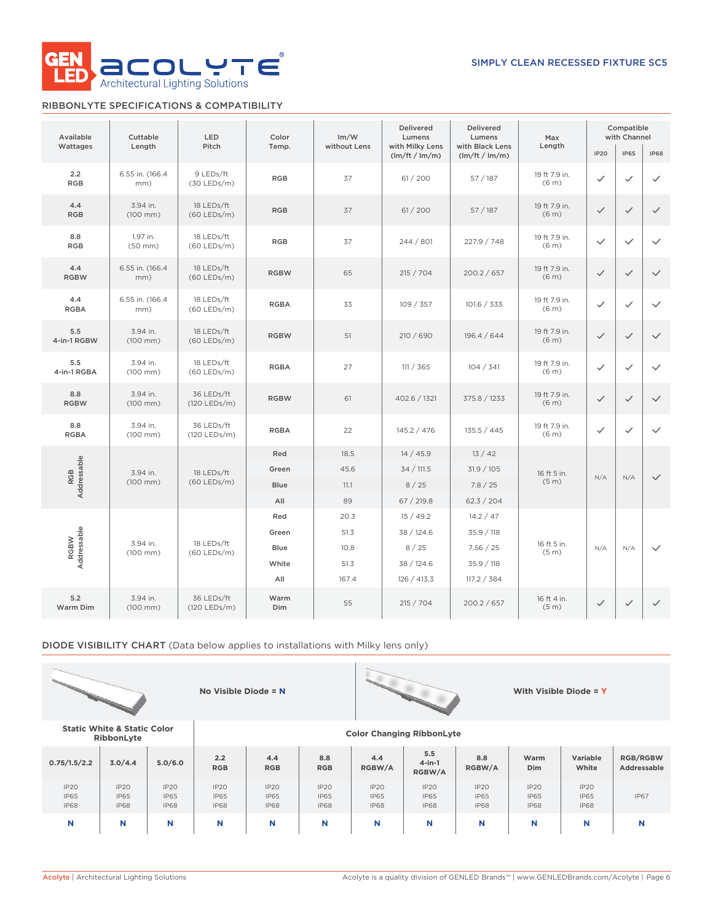

## RIBBONLYTE SPECIFICATIONS & COMPATIBILITY

| Available           | Cuttable                  | LED                         | Color       | Im/W         | <b>Delivered</b><br>Lumens        | <b>Delivered</b><br>Lumens        | Max                                | Compatible<br>with Channel |              |              |
|---------------------|---------------------------|-----------------------------|-------------|--------------|-----------------------------------|-----------------------------------|------------------------------------|----------------------------|--------------|--------------|
| Wattages            | Length                    | Pitch                       | Temp.       | without Lens | with Milky Lens<br>(lm/ft / lm/m) | with Black Lens<br>(lm/ft / lm/m) | Length                             | <b>IP20</b>                | <b>IP65</b>  | <b>IP68</b>  |
| 2.2<br><b>RGB</b>   | 6.55 in. (166.4<br>mm)    | 9 LEDs/ft<br>(30 LEDs/m)    | <b>RGB</b>  | 37           | 61 / 200                          | 57 / 187                          | 19 ft 7.9 in.<br>(6 <sub>m</sub> ) | $\checkmark$               | ✓            | $\checkmark$ |
| 4.4<br><b>RGB</b>   | 3.94 in.<br>$(100$ mm $)$ | 18 LEDs/ft<br>$(60$ LEDs/m) | <b>RGB</b>  | 37           | 61 / 200                          | 57/187                            | 19 ft 7.9 in.<br>(6 <sub>m</sub> ) | $\checkmark$               | $\checkmark$ | $\checkmark$ |
| 8.8<br><b>RGB</b>   | 1.97 in.<br>$(50$ mm $)$  | 18 LEDs/ft<br>$(60$ LEDs/m) | <b>RGB</b>  | 37           | 244 / 801                         | 227.9 / 748                       | 19 ft 7.9 in.<br>(6 <sub>m</sub> ) | $\checkmark$               | $\checkmark$ | $\checkmark$ |
| 4.4<br><b>RGBW</b>  | 6.55 in. (166.4<br>mm)    | 18 LEDs/ft<br>$(60$ LEDs/m) | <b>RGBW</b> | 65           | 215 / 704                         | 200.2 / 657                       | 19 ft 7.9 in.<br>(6 <sub>m</sub> ) | $\checkmark$               | $\checkmark$ | $\checkmark$ |
| 4.4<br><b>RGBA</b>  | 6.55 in. (166.4<br>mm)    | 18 LEDs/ft<br>$(60$ LEDs/m) | <b>RGBA</b> | 33           | 109 / 357                         | 101.6 / 333                       | 19 ft 7.9 in.<br>(6 <sub>m</sub> ) | $\checkmark$               | $\checkmark$ | $\checkmark$ |
| 5.5<br>4-in-1 RGBW  | 3.94 in.<br>$(100$ mm $)$ | 18 LEDs/ft<br>$(60$ LEDs/m) | <b>RGBW</b> | 51           | 210 / 690                         | 196.4 / 644                       | 19 ft 7.9 in.<br>(6 <sub>m</sub> ) | $\checkmark$               | $\checkmark$ | $\checkmark$ |
| 5.5<br>4-in-1 RGBA  | 3.94 in.<br>$(100$ mm $)$ | 18 LEDs/ft<br>$(60$ LEDs/m) | <b>RGBA</b> | 27           | 111 / 365                         | 104 / 341                         | 19 ft 7.9 in.<br>(6 <sub>m</sub> ) | $\checkmark$               | $\checkmark$ | $\checkmark$ |
| 8.8<br><b>RGBW</b>  | 3.94 in.<br>$(100$ mm $)$ | 36 LEDs/ft<br>(120 LEDs/m)  | <b>RGBW</b> | 61           | 402.6 / 1321                      | 375.8 / 1233                      | 19 ft 7.9 in.<br>(6 <sub>m</sub> ) | $\checkmark$               | $\checkmark$ | $\checkmark$ |
| 8.8<br><b>RGBA</b>  | 3.94 in.<br>$(100$ mm $)$ | 36 LEDs/ft<br>(120 LEDs/m)  | <b>RGBA</b> | 22           | 145.2 / 476                       | 135.5 / 445                       | 19 ft 7.9 in.<br>(6 <sub>m</sub> ) | $\checkmark$               | ✓            | $\checkmark$ |
|                     |                           |                             | Red         | 18.5         | 14/45.9                           | 13/42                             |                                    |                            |              |              |
| Addressable<br>RGB  | 3.94 in.                  | 18 LEDs/ft                  | Green       | 45.6         | 34 / 111.5                        | 31.9 / 105                        | 16 ft 5 in.                        | N/A                        | N/A          | $\checkmark$ |
|                     | $(100$ mm $)$             | $(60$ LEDs/m)               | <b>Blue</b> | 11.1         | 8/25                              | 7.8 / 25                          | (5 <sub>m</sub> )                  |                            |              |              |
|                     |                           |                             | All         | 89           | 67 / 219.8                        | 62.3 / 204                        |                                    |                            |              |              |
|                     |                           |                             | Red         | 20.3         | 15/49.2                           | 14.2 / 47                         |                                    |                            |              |              |
|                     | 3.94 in.                  | 18 LEDs/ft                  | Green       | 51.3         | 38 / 124.6                        | 35.9 / 118                        | 16 ft 5 in.                        |                            |              |              |
| Addressable<br>RGBW | $(100$ mm $)$             | $(60$ LEDs/m)               | Blue        | 10.8         | 8/25                              | 7.56 / 25                         | (5 <sub>m</sub> )                  | N/A                        | N/A          | $\checkmark$ |
|                     |                           |                             | White       | 51.3         | 38 / 124.6                        | 35.9 / 118                        |                                    |                            |              |              |
|                     |                           |                             | All         | 167.4        | 126 / 413.3                       | 117.2 / 384                       |                                    |                            |              |              |
| 5.2<br>Warm Dim     | 3.94 in.<br>$(100$ mm $)$ | 36 LEDs/ft<br>(120 LEDs/m)  | Warm<br>Dim | 55           | 215 / 704                         | 200.2 / 657                       | 16 ft 4 in.<br>(5 <sub>m</sub> )   | $\checkmark$               | $\checkmark$ | $\checkmark$ |

DIODE VISIBILITY CHART (Data below applies to installations with Milky lens only)





**RibbonLyte Color Changing RibbonLyte**

**Static White & Static Color**

| 0.75/1.5/2.2                                   | 3.0/4.4                            | 5.0/6.0                                   | 2.2<br><b>RGB</b>                         | 4.4<br><b>RGB</b>                              | 8.8<br><b>RGB</b>                              | 4.4<br>RGBW/A                      | 5.5<br>$4$ -in-1<br>RGBW/A                     | 8.8<br>RGBW/A                                  | Warm<br>Dim                               | Variable<br>White                              | <b>RGB/RGBW</b><br>Addressable |
|------------------------------------------------|------------------------------------|-------------------------------------------|-------------------------------------------|------------------------------------------------|------------------------------------------------|------------------------------------|------------------------------------------------|------------------------------------------------|-------------------------------------------|------------------------------------------------|--------------------------------|
| IP <sub>20</sub><br><b>IP65</b><br><b>IP68</b> | IP2O<br><b>IP65</b><br><b>IP68</b> | <b>IP20</b><br><b>IP65</b><br><b>IP68</b> | <b>IP20</b><br><b>IP65</b><br><b>IP68</b> | IP <sub>20</sub><br><b>IP65</b><br><b>IP68</b> | IP <sub>20</sub><br><b>IP65</b><br><b>IP68</b> | IP2O<br><b>IP65</b><br><b>IP68</b> | IP <sub>20</sub><br><b>IP65</b><br><b>IP68</b> | IP <sub>20</sub><br><b>IP65</b><br><b>IP68</b> | <b>IP20</b><br><b>IP65</b><br><b>IP68</b> | IP <sub>20</sub><br><b>IP65</b><br><b>IP68</b> | <b>IP67</b>                    |
| N                                              | N                                  | N                                         | N                                         | N                                              | N                                              | N                                  | N                                              | N                                              | N                                         | N                                              | N                              |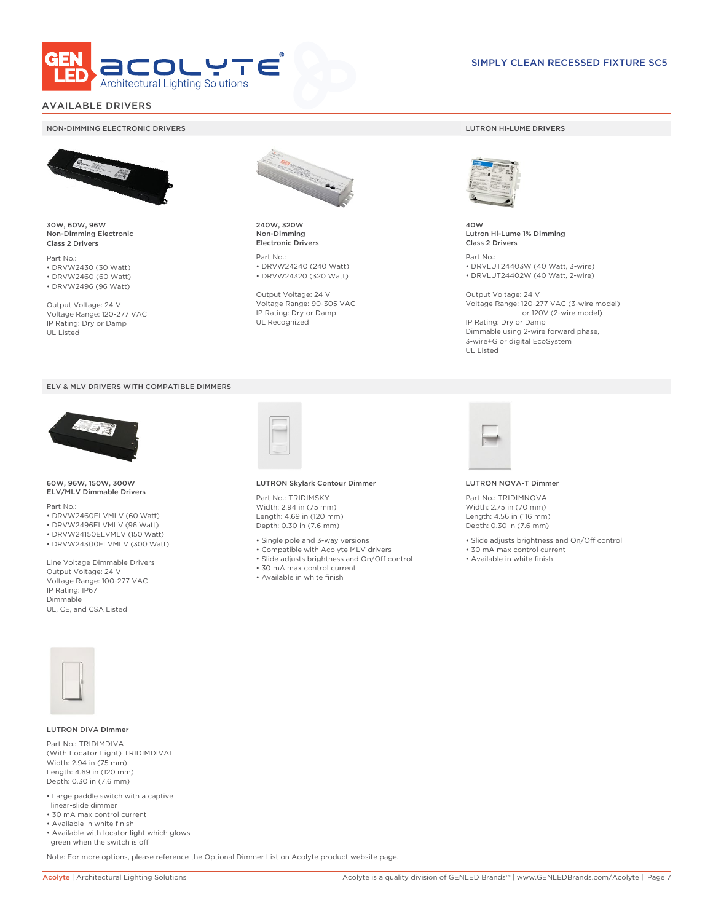

## AVAILABLE DRIVERS

#### NON-DIMMING ELECTRONIC DRIVERS LUTRON HI-LUME DRIVERS



30W, 60W, 96W Non-Dimming Electronic Class 2 Drivers

Part No.: • DRVW2430 (30 Watt) • DRVW2460 (60 Watt)

• DRVW2496 (96 Watt)

Output Voltage: 24 V Voltage Range: 120-277 VAC IP Rating: Dry or Damp UL Listed





60W, 96W, 150W, 300W ELV/MLV Dimmable Drivers

Part No.:

- DRVW2460ELVMLV (60 Watt)
- DRVW2496ELVMLV (96 Watt)
- DRVW24150ELVMLV (150 Watt)
- DRVW24300ELVMLV (300 Watt)

Line Voltage Dimmable Drivers Output Voltage: 24 V Voltage Range: 100-277 VAC IP Rating: IP67 Dimmable UL, CE, and CSA Listed



240W, 320W Non-Dimming Electronic Drivers

Part No.: • DRVW24240 (240 Watt) • DRVW24320 (320 Watt)

Output Voltage: 24 V Voltage Range: 90-305 VAC IP Rating: Dry or Damp UL Recognized



40W Lutron Hi-Lume 1% Dimming Class 2 Drivers

Part No.: • DRVLUT24403W (40 Watt, 3-wire) • DRVLUT24402W (40 Watt, 2-wire)

Output Voltage: 24 V Voltage Range: 120-277 VAC (3-wire model) or 120V (2-wire model) IP Rating: Dry or Damp Dimmable using 2-wire forward phase, 3-wire+G or digital EcoSystem UL Listed



#### LUTRON Skylark Contour Dimmer

Part No.: TRIDIMSKY Width: 2.94 in (75 mm) Length: 4.69 in (120 mm) Depth: 0.30 in (7.6 mm)

- Single pole and 3-way versions
- Compatible with Acolyte MLV drivers
- Slide adjusts brightness and On/Off control
- 30 mA max control current
- Available in white finish



#### LUTRON NOVA-T Dimmer

- Slide adjusts brightness and On/Off control
- 30 mA max control current
- Available in white finish



#### LUTRON DIVA Dimmer

Part No.: TRIDIMDIVA (With Locator Light) TRIDIMDIVAL Width: 2.94 in (75 mm) Length: 4.69 in (120 mm) Depth: 0.30 in (7.6 mm)

- Large paddle switch with a captive linear-slide dimmer
- 30 mA max control current
- Available in white finish
- Available with locator light which glows green when the switch is off

Note: For more options, please reference the Optional Dimmer List on Acolyte product website page.

Part No.: TRIDIMNOVA Width: 2.75 in (70 mm) Length: 4.56 in (116 mm) Depth: 0.30 in (7.6 mm)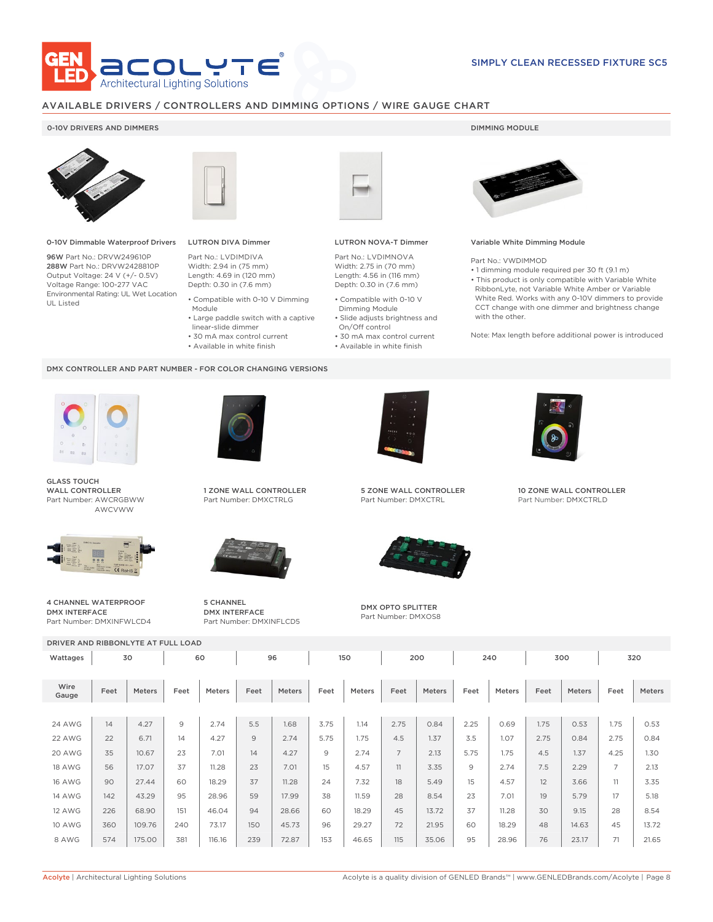

## AVAILABLE DRIVERS / CONTROLLERS AND DIMMING OPTIONS / WIRE GAUGE CHART

## 0-10V DRIVERS AND DIMMERS **DIMMING MODULE**



0-10V Dimmable Waterproof Drivers

96W Part No.: DRVW249610P 288W Part No.: DRVW2428810P Output Voltage: 24 V (+/- 0.5V) Voltage Range: 100-277 VAC Environmental Rating: UL Wet Location UL Listed



## LUTRON DIVA Dimmer

Part No.: LVDIMDIVA Width: 2.94 in (75 mm) Length: 4.69 in (120 mm) Depth: 0.30 in (7.6 mm)

- Compatible with 0-10 V Dimming Module
- Large paddle switch with a captive
- linear-slide dimmer
- 30 mA max control current
- Available in white finish

#### DMX CONTROLLER AND PART NUMBER - FOR COLOR CHANGING VERSIONS



GLASS TOUCH WALL CONTROLLER Part Number: AWCRGBWW AWCVWW



4 CHANNEL WATERPROOF DMX INTERFACE Part Number: DMXINFWLCD4



1 ZONE WALL CONTROLLER Part Number: DMXCTRLG



5 CHANNEL DMX INTERFACE Part Number: DMXINFLCD5



### LUTRON NOVA-T Dimmer

Part No.: LVDIMNOVA Width: 2.75 in (70 mm) Length: 4.56 in (116 mm) Depth: 0.30 in (7.6 mm)

- Compatible with 0-10 V Dimming Module
- Slide adjusts brightness and On/Off control
- 30 mA max control current • Available in white finish
	-



#### Variable White Dimming Module

Part No.: VWDIMMOD

• 1 dimming module required per 30 ft (9.1 m) • This product is only compatible with Variable White RibbonLyte, not Variable White Amber or Variable White Red. Works with any 0-10V dimmers to provide CCT change with one dimmer and brightness change with the other.

Note: Max length before additional power is introduced



5 ZONE WALL CONTROLLER Part Number: DMXCTRL



DMX OPTO SPLITTER Part Number: DMXOS8



10 ZONE WALL CONTROLLER Part Number: DMXCTRLD

|               | DRIVER AND RIBBONLYTE AT FULL LOAD |        |      |               |      |        |      |               |                |               |      |               |      |        |                |        |
|---------------|------------------------------------|--------|------|---------------|------|--------|------|---------------|----------------|---------------|------|---------------|------|--------|----------------|--------|
| Wattages      |                                    | 30     | 60   |               | 96   |        | 150  |               | 200            |               | 240  |               | 300  |        | 320            |        |
|               |                                    |        |      |               |      |        |      |               |                |               |      |               |      |        |                |        |
| Wire<br>Gauge | Feet                               | Meters | Feet | <b>Meters</b> | Feet | Meters | Feet | <b>Meters</b> | Feet           | <b>Meters</b> | Feet | <b>Meters</b> | Feet | Meters | Feet           | Meters |
|               |                                    |        |      |               |      |        |      |               |                |               |      |               |      |        |                |        |
| <b>24 AWG</b> | 14                                 | 4.27   | 9    | 2.74          | 5.5  | 1.68   | 3.75 | 1.14          | 2.75           | 0.84          | 2.25 | 0.69          | 1.75 | 0.53   | 1.75           | 0.53   |
| 22 AWG        | 22                                 | 6.71   | 14   | 4.27          | 9    | 2.74   | 5.75 | 1.75          | 4.5            | 1.37          | 3.5  | 1.07          | 2.75 | 0.84   | 2.75           | 0.84   |
| 20 AWG        | 35                                 | 10.67  | 23   | 7.01          | 14   | 4.27   | 9    | 2.74          | $\overline{7}$ | 2.13          | 5.75 | 1.75          | 4.5  | 1.37   | 4.25           | 1.30   |
| <b>18 AWG</b> | 56                                 | 17.07  | 37   | 11.28         | 23   | 7.01   | 15   | 4.57          | 11             | 3.35          | 9    | 2.74          | 7.5  | 2.29   | $\overline{7}$ | 2.13   |
| <b>16 AWG</b> | 90                                 | 27.44  | 60   | 18.29         | 37   | 11.28  | 24   | 7.32          | 18             | 5.49          | 15   | 4.57          | 12   | 3.66   | 11             | 3.35   |
| <b>14 AWG</b> | 142                                | 43.29  | 95   | 28.96         | 59   | 17.99  | 38   | 11.59         | 28             | 8.54          | 23   | 7.01          | 19   | 5.79   | 17             | 5.18   |
| <b>12 AWG</b> | 226                                | 68.90  | 151  | 46.04         | 94   | 28.66  | 60   | 18.29         | 45             | 13.72         | 37   | 11.28         | 30   | 9.15   | 28             | 8.54   |
| <b>10 AWG</b> | 360                                | 109.76 | 240  | 73.17         | 150  | 45.73  | 96   | 29.27         | 72             | 21.95         | 60   | 18.29         | 48   | 14.63  | 45             | 13.72  |
| 8 AWG         | 574                                | 175.00 | 381  | 116.16        | 239  | 72.87  | 153  | 46.65         | 115            | 35.06         | 95   | 28.96         | 76   | 23.17  | 71             | 21.65  |